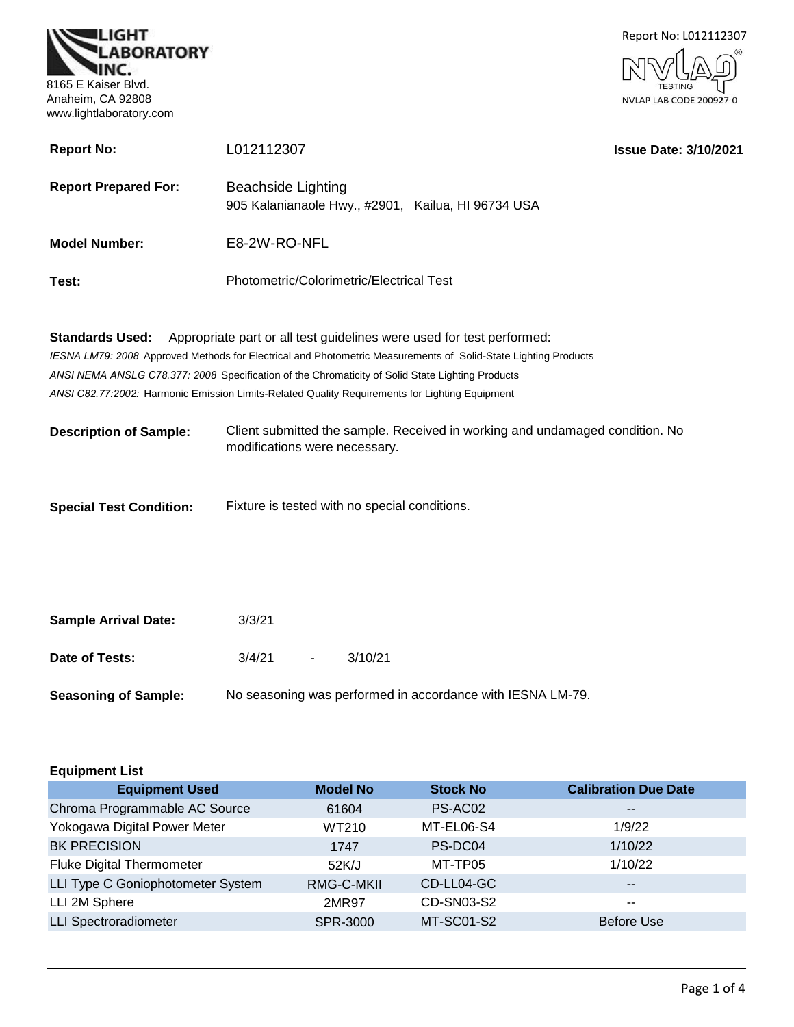



| <b>Report No:</b>              | L012112307                                                                                                                                                                              | <b>Issue Date: 3/10/2021</b> |
|--------------------------------|-----------------------------------------------------------------------------------------------------------------------------------------------------------------------------------------|------------------------------|
| <b>Report Prepared For:</b>    | Beachside Lighting<br>905 Kalanianaole Hwy., #2901, Kailua, HI 96734 USA                                                                                                                |                              |
| <b>Model Number:</b>           | E8-2W-RO-NFL                                                                                                                                                                            |                              |
| Test:                          | Photometric/Colorimetric/Electrical Test                                                                                                                                                |                              |
| <b>Standards Used:</b>         | Appropriate part or all test guidelines were used for test performed:<br>IESNA LM79: 2008 Approved Methods for Electrical and Photometric Measurements of Solid-State Lighting Products |                              |
|                                | ANSI NEMA ANSLG C78.377: 2008 Specification of the Chromaticity of Solid State Lighting Products                                                                                        |                              |
|                                | ANSI C82.77:2002: Harmonic Emission Limits-Related Quality Requirements for Lighting Equipment                                                                                          |                              |
| <b>Description of Sample:</b>  | Client submitted the sample. Received in working and undamaged condition. No<br>modifications were necessary.                                                                           |                              |
| <b>Special Test Condition:</b> | Fixture is tested with no special conditions.                                                                                                                                           |                              |

| <b>Sample Arrival Date:</b> | 3/3/21 |        |                                                            |  |
|-----------------------------|--------|--------|------------------------------------------------------------|--|
| Date of Tests:              | 3/4/21 | $\sim$ | 3/10/21                                                    |  |
| <b>Seasoning of Sample:</b> |        |        | No seasoning was performed in accordance with IESNA LM-79. |  |

| <b>Equipment List</b>             |                 |                   |                             |  |
|-----------------------------------|-----------------|-------------------|-----------------------------|--|
| <b>Equipment Used</b>             | <b>Model No</b> | <b>Stock No</b>   | <b>Calibration Due Date</b> |  |
| Chroma Programmable AC Source     | 61604           | PS-AC02           | $\sim$ $\sim$               |  |
| Yokogawa Digital Power Meter      | WT210           | MT-EL06-S4        | 1/9/22                      |  |
| <b>BK PRECISION</b>               | 1747            | PS-DC04           | 1/10/22                     |  |
| <b>Fluke Digital Thermometer</b>  | 52K/J           | MT-TP05           | 1/10/22                     |  |
| LLI Type C Goniophotometer System | RMG-C-MKII      | CD-LL04-GC        | $\overline{\phantom{m}}$    |  |
| LLI 2M Sphere                     | 2MR97           | CD-SN03-S2        | --                          |  |
| <b>LLI Spectroradiometer</b>      | SPR-3000        | <b>MT-SC01-S2</b> | Before Use                  |  |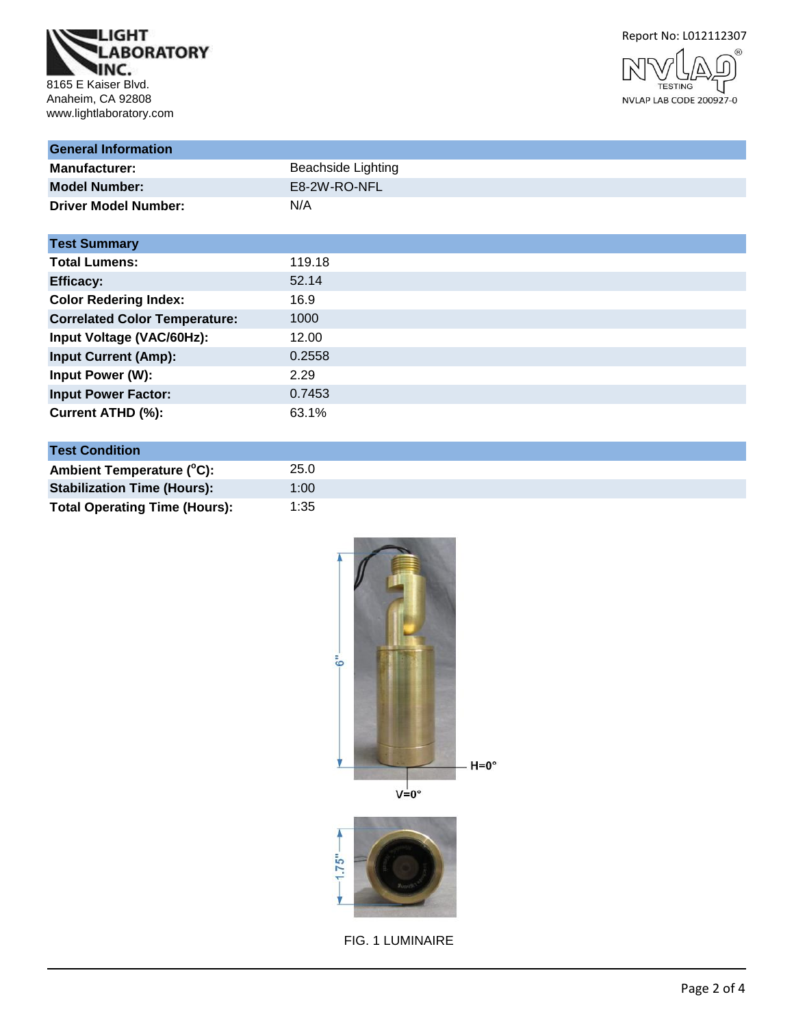





| <b>General Information</b>           |                           |
|--------------------------------------|---------------------------|
| <b>Manufacturer:</b>                 | <b>Beachside Lighting</b> |
| <b>Model Number:</b>                 | E8-2W-RO-NFL              |
| <b>Driver Model Number:</b>          | N/A                       |
| <b>Test Summary</b>                  |                           |
| <b>Total Lumens:</b>                 | 119.18                    |
| <b>Efficacy:</b>                     | 52.14                     |
| <b>Color Redering Index:</b>         | 16.9                      |
| <b>Correlated Color Temperature:</b> | 1000                      |
| Input Voltage (VAC/60Hz):            | 12.00                     |
| <b>Input Current (Amp):</b>          | 0.2558                    |
| Input Power (W):                     | 2.29                      |
| <b>Input Power Factor:</b>           | 0.7453                    |
| Current ATHD (%):                    | 63.1%                     |

| <b>Test Condition</b>                |      |
|--------------------------------------|------|
| Ambient Temperature (°C):            | 25.0 |
| <b>Stabilization Time (Hours):</b>   | 1:00 |
| <b>Total Operating Time (Hours):</b> | 1:35 |

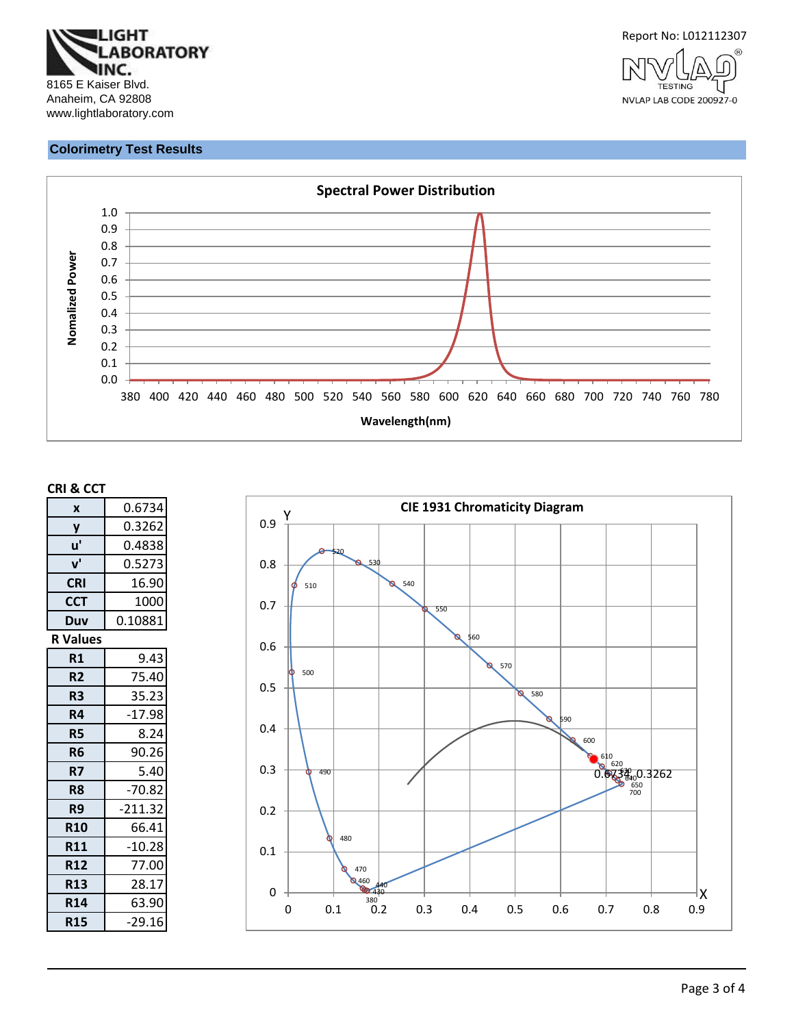



#### **Colorimetry Test Results**



#### **CRI & CCT**

| 0.6734    |
|-----------|
| 0.3262    |
| 0.4838    |
| 0.5273    |
| 16.90     |
| 1000      |
| 0.10881   |
|           |
| 9.43      |
| 75.40     |
| 35.23     |
| $-17.98$  |
| 8.24      |
| 90.26     |
| 5.40      |
| $-70.82$  |
| $-211.32$ |
| 66.41     |
| $-10.28$  |
| 77.00     |
| 28.17     |
| 63.90     |
| $-29.16$  |
|           |

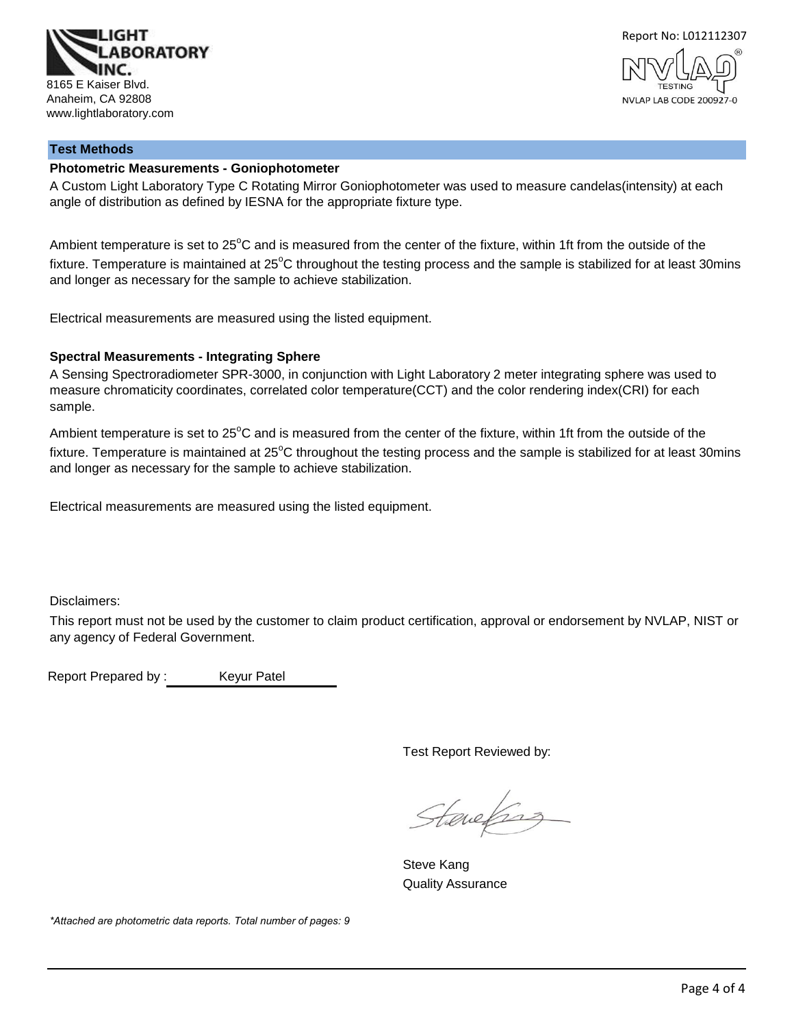



# **Test Methods**

#### **Photometric Measurements - Goniophotometer**

A Custom Light Laboratory Type C Rotating Mirror Goniophotometer was used to measure candelas(intensity) at each angle of distribution as defined by IESNA for the appropriate fixture type.

Ambient temperature is set to  $25^{\circ}$ C and is measured from the center of the fixture, within 1ft from the outside of the fixture. Temperature is maintained at  $25^{\circ}$ C throughout the testing process and the sample is stabilized for at least 30mins and longer as necessary for the sample to achieve stabilization.

Electrical measurements are measured using the listed equipment.

#### **Spectral Measurements - Integrating Sphere**

A Sensing Spectroradiometer SPR-3000, in conjunction with Light Laboratory 2 meter integrating sphere was used to measure chromaticity coordinates, correlated color temperature(CCT) and the color rendering index(CRI) for each sample.

Ambient temperature is set to 25°C and is measured from the center of the fixture, within 1ft from the outside of the fixture. Temperature is maintained at  $25^{\circ}$ C throughout the testing process and the sample is stabilized for at least 30mins and longer as necessary for the sample to achieve stabilization.

Electrical measurements are measured using the listed equipment.

Disclaimers:

This report must not be used by the customer to claim product certification, approval or endorsement by NVLAP, NIST or any agency of Federal Government.

Report Prepared by : Keyur Patel

Test Report Reviewed by:

Stanefing

Steve Kang Quality Assurance

*\*Attached are photometric data reports. Total number of pages: 9*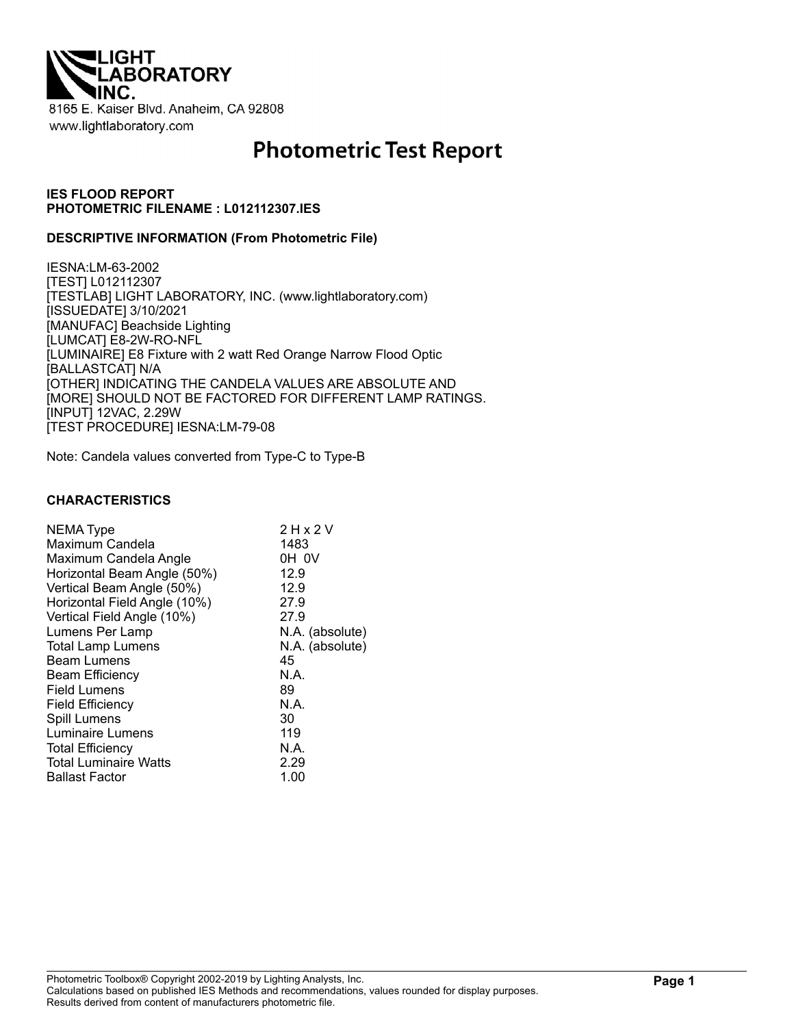

# **Photometric Test Report**

#### **IES FLOOD REPORT PHOTOMETRIC FILENAME : L012112307.IES**

#### **DESCRIPTIVE INFORMATION (From Photometric File)**

IESNA:LM-63-2002 [TEST] L012112307 [TESTLAB] LIGHT LABORATORY, INC. (www.lightlaboratory.com) [ISSUEDATE] 3/10/2021 [MANUFAC] Beachside Lighting [LUMCAT] E8-2W-RO-NFL [LUMINAIRE] E8 Fixture with 2 watt Red Orange Narrow Flood Optic [BALLASTCAT] N/A [OTHER] INDICATING THE CANDELA VALUES ARE ABSOLUTE AND [MORE] SHOULD NOT BE FACTORED FOR DIFFERENT LAMP RATINGS. [INPUT] 12VAC, 2.29W [TEST PROCEDURE] IESNA:LM-79-08

Note: Candela values converted from Type-C to Type-B

#### **CHARACTERISTICS**

| NEMA Type                    | 2 H x 2 V       |
|------------------------------|-----------------|
| Maximum Candela              | 1483            |
| Maximum Candela Angle        | OH OV           |
| Horizontal Beam Angle (50%)  | 12.9            |
| Vertical Beam Angle (50%)    | 12.9            |
| Horizontal Field Angle (10%) | 27.9            |
| Vertical Field Angle (10%)   | 27.9            |
| Lumens Per Lamp              | N.A. (absolute) |
| <b>Total Lamp Lumens</b>     | N.A. (absolute) |
| <b>Beam Lumens</b>           | 45              |
| <b>Beam Efficiency</b>       | N.A.            |
| Field Lumens                 | 89              |
| <b>Field Efficiency</b>      | N.A.            |
| Spill Lumens                 | 30              |
| Luminaire Lumens             | 119             |
| <b>Total Efficiency</b>      | N.A.            |
| <b>Total Luminaire Watts</b> | 2.29            |
| <b>Ballast Factor</b>        | 1.00            |
|                              |                 |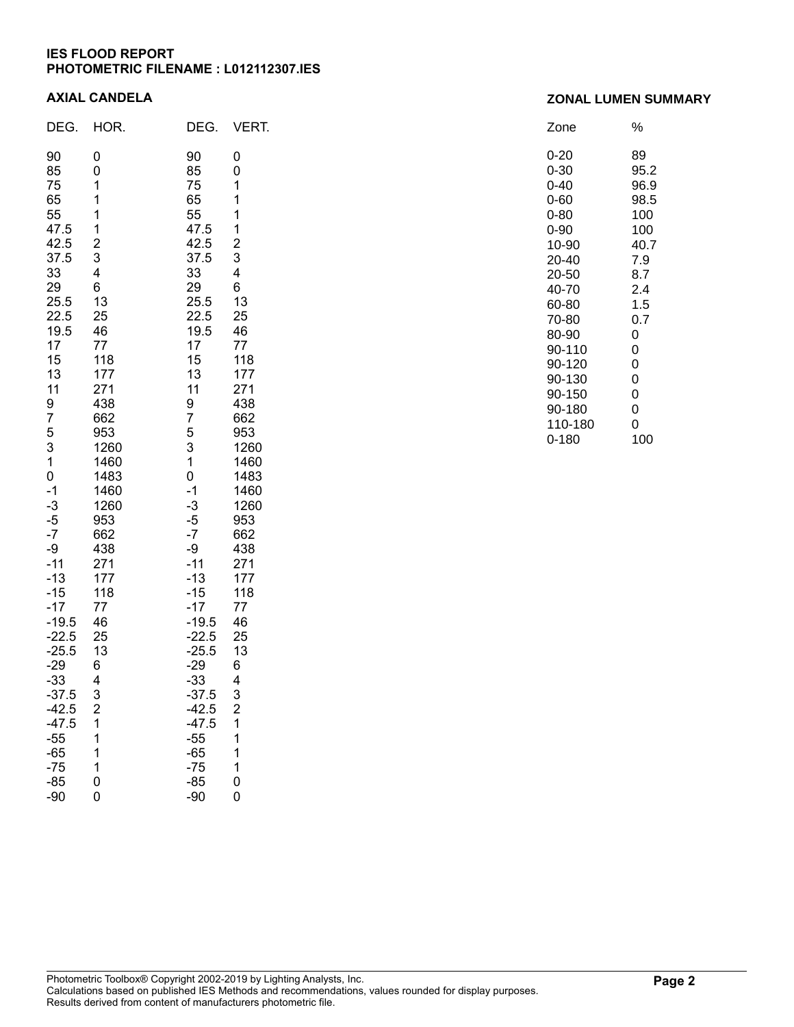## **IES FLOOD REPORT PHOTOMETRIC FILENAME : L012112307.IES**

#### **AXIAL CANDELA**

| DEG.                                                                                                                                                                                                                                                                                                                                                            | HOR.                                                                                                                                                                                                                                                                                                      | DEG.                                                                                                                                                                                                                                                                                                                                       | VERT.                                                                                                                                                                                                                                                                                            |
|-----------------------------------------------------------------------------------------------------------------------------------------------------------------------------------------------------------------------------------------------------------------------------------------------------------------------------------------------------------------|-----------------------------------------------------------------------------------------------------------------------------------------------------------------------------------------------------------------------------------------------------------------------------------------------------------|--------------------------------------------------------------------------------------------------------------------------------------------------------------------------------------------------------------------------------------------------------------------------------------------------------------------------------------------|--------------------------------------------------------------------------------------------------------------------------------------------------------------------------------------------------------------------------------------------------------------------------------------------------|
| 90<br>85<br>75<br>65<br>55<br>47.5<br>42.5<br>37.5<br>33<br>29<br>25.5<br>22.5<br>19.5<br>17<br>15<br>13<br>11<br>9<br>7<br>5<br>3<br>1<br>$\overline{0}$<br>$-1$<br>$-3$<br>$-5$<br>$-7$<br>-9<br>$-11$<br>$-13$<br>$-15$<br>$-17$<br>$-19.5$<br>$-22.5$<br>$-25.5$<br>$-29$<br>$-33$<br>37.5<br>$-42.5$<br>$-47.5$<br>$-55$<br>$-65$<br>$-75$<br>$-85$<br>-90 | 0<br>0<br>1<br>1<br>1<br>1<br>$\overline{\mathbf{c}}$<br>3<br>4<br>6<br>13<br>25<br>46<br>77<br>118<br>177<br>271<br>438<br>662<br>953<br>1260<br>1460<br>1483<br>1460<br>1260<br>953<br>662<br>438<br>271<br>177<br>118<br>77<br>46<br>25<br>13<br>6<br>4<br>3<br>$\frac{2}{1}$<br>1<br>1<br>1<br>0<br>0 | 90<br>85<br>75<br>65<br>55<br>47.5<br>42.5<br>37.5<br>33<br>29<br>25.5<br>22.5<br>19.5<br>17<br>15<br>13<br>11<br>9<br>7<br>5<br>3<br>1<br>0<br>$-1$<br>$-3$<br>$-5$<br>$-7$<br>-9<br>$-11$<br>$-13$<br>$-15$<br>$-17$<br>$-19.5$<br>$-22.5$<br>$-25.5$<br>-29<br>-33<br>37.5<br>-42.5<br>$-47.5$<br>-55<br>$-65$<br>$-75$<br>$-85$<br>-90 | 0<br>0<br>1<br>1<br>1<br>1<br>$\overline{c}$<br>3<br>4<br>6<br>13<br>25<br>46<br>77<br>118<br>177<br>271<br>438<br>662<br>953<br>1260<br>1460<br>1483<br>1460<br>1260<br>953<br>662<br>438<br>271<br>177<br>118<br>77<br>46<br>25<br>13<br>6<br>4<br>3<br>$\frac{2}{1}$<br>1<br>1<br>1<br>0<br>0 |

| Zone     | %    |
|----------|------|
| 0-20     | 89   |
| 0-30     | 95.2 |
| 0-40     | 96.9 |
| 0-60     | 98.5 |
| $0 - 80$ | 100  |
| $0 - 90$ | 100  |
| 10-90    | 40.7 |
| 20-40    | 7.9  |
| 20-50    | 8.7  |
| 40-70    | 2.4  |
| 60-80    | 1.5  |
| 70-80    | 0.7  |
| 80-90    | 0    |
| 90-110   | 0    |
| 90-120   | 0    |
| 90-130   | 0    |
| 90-150   | 0    |
| 90-180   | 0    |
| 110-180  | 0    |
| 0-180    | 100  |

# **ZONAL LUMEN SUMMARY**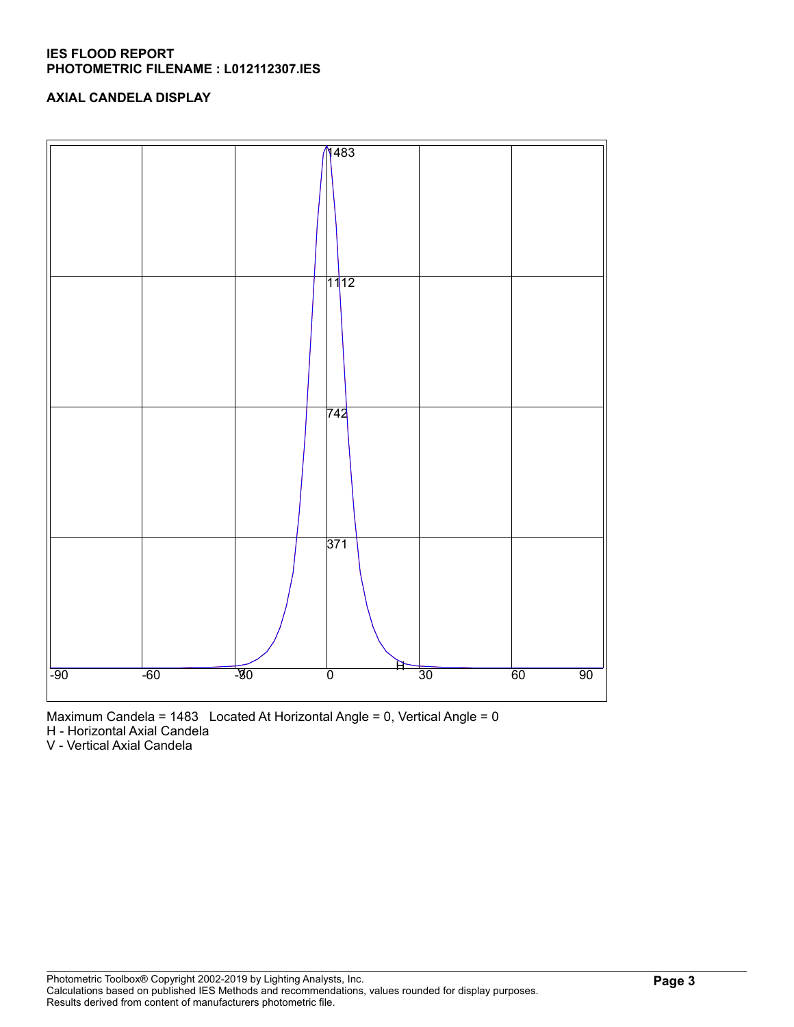## **IES FLOOD REPORT PHOTOMETRIC FILENAME : L012112307.IES**

# **AXIAL CANDELA DISPLAY**



Maximum Candela = 1483 Located At Horizontal Angle = 0, Vertical Angle = 0

H - Horizontal Axial Candela

V - Vertical Axial Candela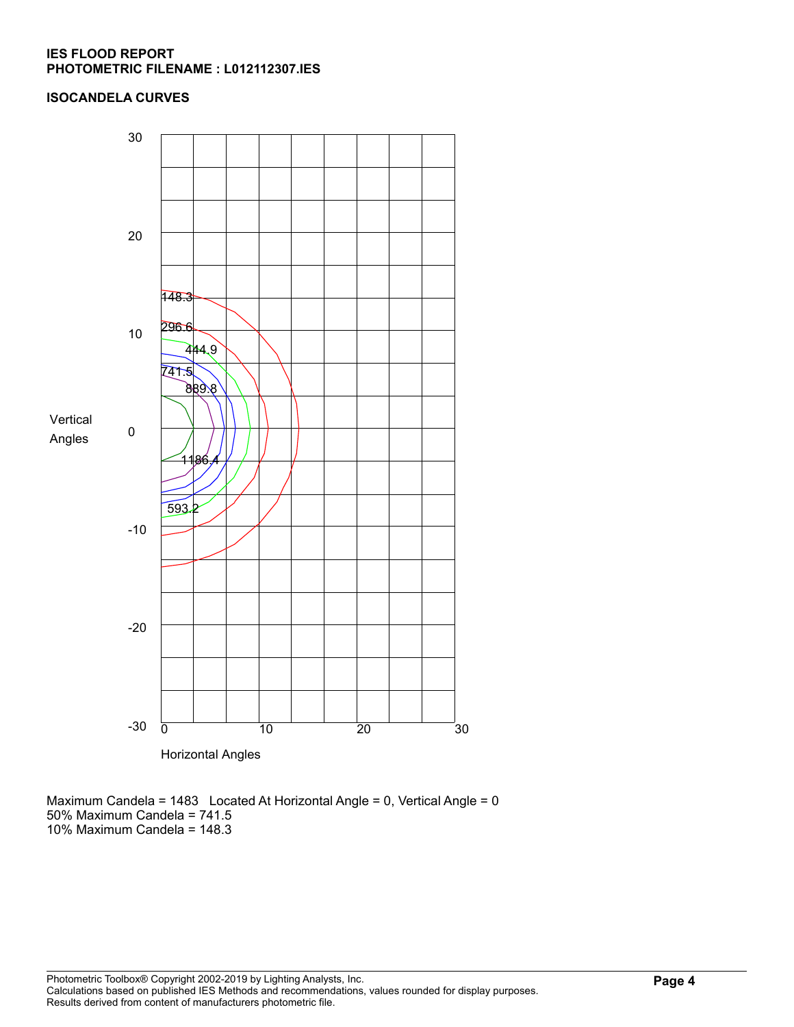## **IES FLOOD REPORT PHOTOMETRIC FILENAME : L012112307.IES**

# **ISOCANDELA CURVES**



Maximum Candela = 1483 Located At Horizontal Angle = 0, Vertical Angle = 0 50% Maximum Candela = 741.5 10% Maximum Candela = 148.3